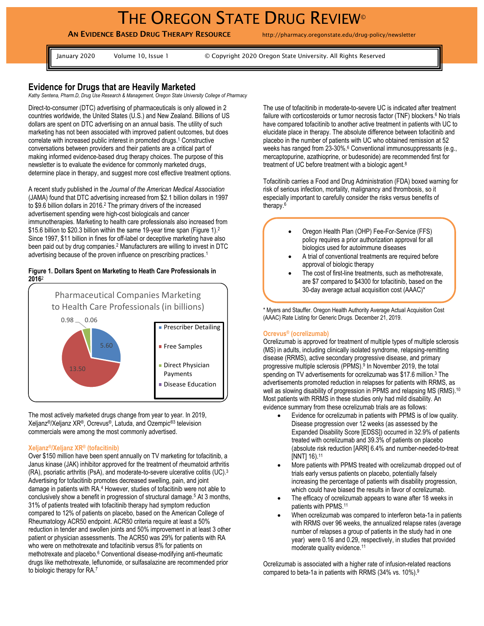# THE OREGON STATE DRUG REVIEW®

## **AN EVIDENCE BASED DRUG THERAPY RESOURCE** http://pharmacy.oregonstate.edu/drug-policy/newsletter

January 2020 Volume 10, Issue 1 © Copyright 2020 Oregon State University. All Rights Reserved

## **Evidence for Drugs that are Heavily Marketed**

*Kathy Sentena, Pharm.D, Drug Use Research & Management, Oregon State University College of Pharmacy*

Direct-to-consumer (DTC) advertising of pharmaceuticals is only allowed in 2 countries worldwide, the United States (U.S.) and New Zealand. Billions of US dollars are spent on DTC advertising on an annual basis. The utility of such marketing has not been associated with improved patient outcomes, but does correlate with increased public interest in promoted drugs. <sup>1</sup> Constructive conversations between providers and their patients are a critical part of making informed evidence-based drug therapy choices. The purpose of this newsletter is to evaluate the evidence for commonly marketed drugs, determine place in therapy, and suggest more cost effective treatment options.

A recent study published in the *Journal of the American Medical Association* (JAMA) found that DTC advertising increased from \$2.1 billion dollars in 1997 to \$9.6 billion dollars in 2016.<sup>2</sup> The primary drivers of the increased advertisement spending were high-cost biologicals and cancer immunotherapies. Marketing to health care professionals also increased from \$15.6 billion to \$20.3 billion within the same 19-year time span (Figure 1).<sup>2</sup> Since 1997, \$11 billion in fines for off-label or deceptive marketing have also been paid out by drug companies.<sup>2</sup> Manufacturers are willing to invest in DTC advertising because of the proven influence on prescribing practices. 1

#### **Figure 1. Dollars Spent on Marketing to Heath Care Professionals in 2016**<sup>2</sup>



The most actively marketed drugs change from year to year. In 2019, Xeljanz®/Xeljanz XR®, Ocrevus®, Latuda, and Ozempic®3 television commercials were among the most commonly advertised.

#### **Xeljanz®/Xeljanz XR® (tofacitinib)**

Over \$150 million have been spent annually on TV marketing for tofacitinib, a Janus kinase (JAK) inhibitor approved for the treatment of rheumatoid arthritis (RA), psoriatic arthritis (PsA), and moderate-to-severe ulcerative colitis (UC). 3 Advertising for tofacitinib promotes decreased swelling, pain, and joint damage in patients with RA. <sup>4</sup> However, studies of tofacitinib were not able to conclusively show a benefit in progression of structural damage.<sup>5</sup> At 3 months, 31% of patients treated with tofacitinib therapy had symptom reduction compared to 12% of patients on placebo, based on the American College of Rheumatology ACR50 endpoint. ACR50 criteria require at least a 50% reduction in tender and swollen joints and 50% improvement in at least 3 other patient or physician assessments. The ACR50 was 29% for patients with RA who were on methotrexate and tofacitinib versus 8% for patients on methotrexate and placebo. <sup>6</sup> Conventional disease-modifying anti-rheumatic drugs like methotrexate, leflunomide, or sulfasalazine are recommended prior to biologic therapy for RA.<sup>7</sup>

The use of tofacitinib in moderate-to-severe UC is indicated after treatment failure with corticosteroids or tumor necrosis factor (TNF) blockers.<sup>6</sup> No trials have compared tofacitinib to another active treatment in patients with UC to elucidate place in therapy. The absolute difference between tofacitinib and placebo in the number of patients with UC who obtained remission at 52 weeks has ranged from 23-30%.<sup>6</sup> Conventional immunosuppressants (e.g., mercaptopurine, azathioprine, or budesonide) are recommended first for treatment of UC before treatment with a biologic agent.<sup>8</sup>

Tofacitinib carries a Food and Drug Administration (FDA) boxed warning for risk of serious infection, mortality, malignancy and thrombosis, so it especially important to carefully consider the risks versus benefits of therapy.<sup>6</sup>

- Oregon Health Plan (OHP) Fee-For-Service (FFS) policy requires a prior authorization approval for all biologics used for autoimmune diseases
- A trial of conventional treatments are required before approval of biologic therapy
- The cost of first-line treatments, such as methotrexate, are \$7 compared to \$4300 for tofacitinib, based on the 30-day average actual acquisition cost (AAAC)\*

\* Myers and Stauffer. Oregon Health Authority Average Actual Acquisition Cost (AAAC) Rate Listing for Generic Drugs. December 21, 2019.

#### **Ocrevus® (ocrelizumab)**

Ocrelizumab is approved for treatment of multiple types of multiple sclerosis (MS) in adults, including clinically isolated syndrome, relapsing-remitting disease (RRMS), active secondary progressive disease, and primary progressive multiple sclerosis (PPMS). 9 In November 2019, the total spending on TV advertisements for ocrelizumab was \$17.6 million.<sup>3</sup> The advertisements promoted reduction in relapses for patients with RRMS, as well as slowing disability of progression in PPMS and relapsing MS (RMS).<sup>10</sup> Most patients with RRMS in these studies only had mild disability. An evidence summary from these ocrelizumab trials are as follows:

- Evidence for ocrelizumab in patients with PPMS is of low quality. Disease progression over 12 weeks (as assessed by the Expanded Disability Score [EDSS]) occurred in 32.9% of patients treated with ocrelizumab and 39.3% of patients on placebo (absolute risk reduction [ARR] 6.4% and number-needed-to-treat [NNT] 16).<sup>11</sup>
- More patients with PPMS treated with ocrelizumab dropped out of trials early versus patients on placebo, potentially falsely increasing the percentage of patients with disability progression, which could have biased the results in favor of ocrelizumab.
- The efficacy of ocrelizumab appears to wane after 18 weeks in patients with PPMS.<sup>11</sup>
- When ocrelizumab was compared to interferon beta-1a in patients with RRMS over 96 weeks, the annualized relapse rates (average number of relapses a group of patients in the study had in one year) were 0.16 and 0.29, respectively, in studies that provided moderate quality evidence.<sup>11</sup>

Ocrelizumab is associated with a higher rate of infusion-related reactions compared to beta-1a in patients with RRMS (34% vs. 10%). 9